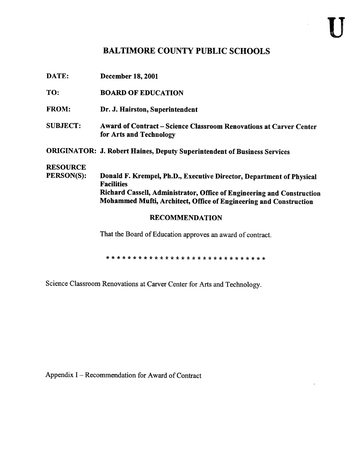## BALTIMORE COUNTY PUBLIC SCHOOLS

| DATE:                         | <b>December 18, 2001</b>                                                                                                                                                                                                                 |  |  |  |  |  |  |
|-------------------------------|------------------------------------------------------------------------------------------------------------------------------------------------------------------------------------------------------------------------------------------|--|--|--|--|--|--|
| TO:                           | <b>BOARD OF EDUCATION</b>                                                                                                                                                                                                                |  |  |  |  |  |  |
| <b>FROM:</b>                  | Dr. J. Hairston, Superintendent                                                                                                                                                                                                          |  |  |  |  |  |  |
| <b>SUBJECT:</b>               | <b>Award of Contract - Science Classroom Renovations at Carver Center</b><br>for Arts and Technology                                                                                                                                     |  |  |  |  |  |  |
|                               | <b>ORIGINATOR: J. Robert Haines, Deputy Superintendent of Business Services</b>                                                                                                                                                          |  |  |  |  |  |  |
| <b>RESOURCE</b><br>PERSON(S): | Donald F. Krempel, Ph.D., Executive Director, Department of Physical<br><b>Facilities</b><br>Richard Cassell, Administrator, Office of Engineering and Construction<br>Mohammed Mufti, Architect, Office of Engineering and Construction |  |  |  |  |  |  |
| <b>RECOMMENDATION</b>         |                                                                                                                                                                                                                                          |  |  |  |  |  |  |
|                               | That the Board of Education approves an award of contract.                                                                                                                                                                               |  |  |  |  |  |  |

Science Classroom Renovations at Carver Center for Arts and Technology.

Appendix <sup>I</sup> - Recommendation for Award of Contract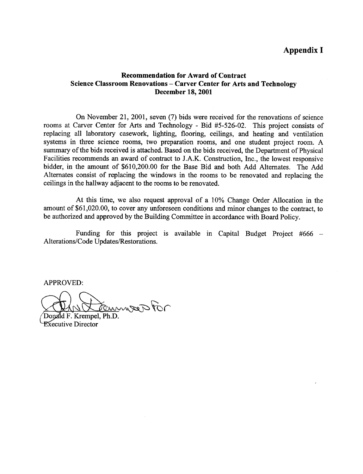## Appendix I

## Recommendation for Award of Contract Science Classroom Renovations - Carver Center for Arts and Technology December 18, 2001

On November 21, 2001, seven (7) bids were received for the renovations of science rooms at Carver Center for Arts and Technology - Bid #5-526-02. This project consists of replacing all laboratory casework, lighting, flooring, ceilings, and heating and ventilation systems in three science rooms, two preparation rooms, and one student project room. A summary of the bids received is attached. Based on the bids received, the Department of Physical Facilities recommends an award of contract to J.A.K. Construction, Inc., the lowest responsive bidder, in the amount of \$610,200.00 for the Base Bid and both Add Alternates . The Add Alternates consist of replacing the windows in the rooms to be renovated and replacing the ceilings in the hallway adjacent to the rooms to be renovated.

At this time, we also request approval of a 10% Change Order Allocation in the amount of \$61,020.00, to cover any unforeseen conditions and minor changes to the contract, to be authorized and approved by the Building Committee in accordance with Board Policy.

Funding for this project is available in Capital Budget Project #666 -Alterations/Code Updates/Restorations.

APPROVED:

Temmos For

Donald F. Krempel, Ph.D. **Executive Director**